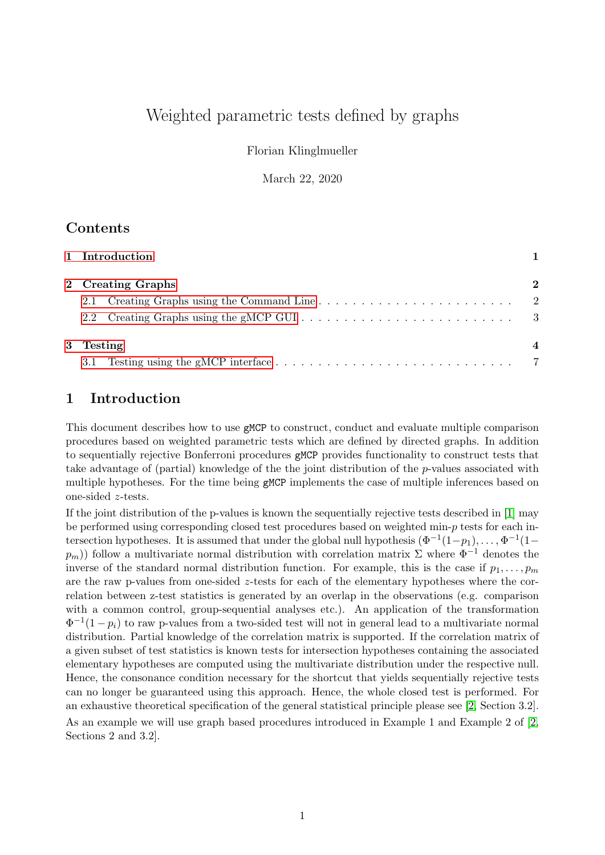# Weighted parametric tests defined by graphs

Florian Klinglmueller

March 22, 2020

## Contents

| 1 Introduction    |                           |
|-------------------|---------------------------|
| 2 Creating Graphs | $\bf{2}$                  |
|                   | $\overline{\phantom{a}2}$ |
|                   |                           |
| 3 Testing         |                           |
| 3.1               | - 7                       |

# <span id="page-0-0"></span>1 Introduction

This document describes how to use gMCP to construct, conduct and evaluate multiple comparison procedures based on weighted parametric tests which are defined by directed graphs. In addition to sequentially rejective Bonferroni procedures gMCP provides functionality to construct tests that take advantage of (partial) knowledge of the the joint distribution of the  $p$ -values associated with multiple hypotheses. For the time being gMCP implements the case of multiple inferences based on one-sided z-tests.

If the joint distribution of the p-values is known the sequentially rejective tests described in [\[1\]](#page-9-0) may be performed using corresponding closed test procedures based on weighted min-p tests for each intersection hypotheses. It is assumed that under the global null hypothesis  $(\Phi^{-1}(1-p_1), \ldots, \Phi^{-1}(1-p_n))$  $p_m$ )) follow a multivariate normal distribution with correlation matrix  $\Sigma$  where  $\Phi^{-1}$  denotes the inverse of the standard normal distribution function. For example, this is the case if  $p_1, \ldots, p_m$ are the raw p-values from one-sided  $z$ -tests for each of the elementary hypotheses where the correlation between z-test statistics is generated by an overlap in the observations (e.g. comparison with a common control, group-sequential analyses etc.). An application of the transformation  $\Phi^{-1}(1-p_i)$  to raw p-values from a two-sided test will not in general lead to a multivariate normal distribution. Partial knowledge of the correlation matrix is supported. If the correlation matrix of a given subset of test statistics is known tests for intersection hypotheses containing the associated elementary hypotheses are computed using the multivariate distribution under the respective null. Hence, the consonance condition necessary for the shortcut that yields sequentially rejective tests can no longer be guaranteed using this approach. Hence, the whole closed test is performed. For an exhaustive theoretical specification of the general statistical principle please see [\[2,](#page-9-1) Section 3.2]. As an example we will use graph based procedures introduced in Example 1 and Example 2 of [\[2,](#page-9-1) Sections 2 and 3.2].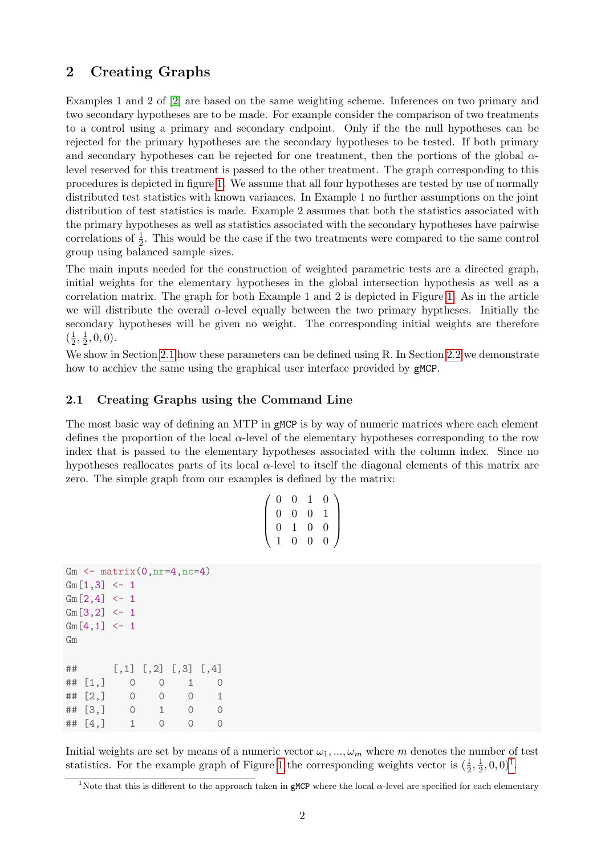### <span id="page-1-0"></span>2 Creating Graphs

Examples 1 and 2 of [\[2\]](#page-9-1) are based on the same weighting scheme. Inferences on two primary and two secondary hypotheses are to be made. For example consider the comparison of two treatments to a control using a primary and secondary endpoint. Only if the the null hypotheses can be rejected for the primary hypotheses are the secondary hypotheses to be tested. If both primary and secondary hypotheses can be rejected for one treatment, then the portions of the global  $\alpha$ level reserved for this treatment is passed to the other treatment. The graph corresponding to this procedures is depicted in figure [1.](#page-3-1) We assume that all four hypotheses are tested by use of normally distributed test statistics with known variances. In Example 1 no further assumptions on the joint distribution of test statistics is made. Example 2 assumes that both the statistics associated with the primary hypotheses as well as statistics associated with the secondary hypotheses have pairwise correlations of  $\frac{1}{2}$ . This would be the case if the two treatments were compared to the same control group using balanced sample sizes.

The main inputs needed for the construction of weighted parametric tests are a directed graph, initial weights for the elementary hypotheses in the global intersection hypothesis as well as a correlation matrix. The graph for both Example 1 and 2 is depicted in Figure [1.](#page-3-1) As in the article we will distribute the overall  $\alpha$ -level equally between the two primary hyptheses. Initially the secondary hypotheses will be given no weight. The corresponding initial weights are therefore  $\left(\frac{1}{2}\right)$  $\frac{1}{2}, \frac{1}{2}$  $\frac{1}{2}, 0, 0$ ).

We show in Section [2.1](#page-1-1) how these parameters can be defined using R. In Section [2.2](#page-2-0) we demonstrate how to acchiev the same using the graphical user interface provided by gMCP.

#### <span id="page-1-1"></span>2.1 Creating Graphs using the Command Line

The most basic way of defining an MTP in gMCP is by way of numeric matrices where each element defines the proportion of the local  $\alpha$ -level of the elementary hypotheses corresponding to the row index that is passed to the elementary hypotheses associated with the column index. Since no hypotheses reallocates parts of its local  $\alpha$ -level to itself the diagonal elements of this matrix are zero. The simple graph from our examples is defined by the matrix:

|                | $0\quad 0$ | 1              | $\overline{0}$ |   |
|----------------|------------|----------------|----------------|---|
| $\overline{0}$ | $\rm 0^-$  | $\overline{0}$ | $\mathbf{1}$   |   |
| 0              | 1          | $\overline{0}$ | $\overline{0}$ |   |
| $\mathbf 1$    | 0.         | $\overline{0}$ | $\overline{0}$ | I |

```
Gm \leftarrow matrix(0, nr=4, nc=4)Gm[1,3] < -1Gm[2,4] < -1Gm[3,2] <- 1
Gm[4,1] < -1Gm
## [,1] [,2] [,3] [,4]
## [1,] 0 0 1 0
\# [2,] 0 0 0 1
## [3,] 0 1 0 0
## [4,] 1 0 0 0
```
Initial weights are set by means of a numeric vector  $\omega_1, ..., \omega_m$  where m denotes the number of test statistics. For the example graph of Figure [1](#page-3-1) the corresponding weights vector is  $(\frac{1}{2}, \frac{1}{2})$  $\frac{1}{2}, 0, 0)^{1}$  $\frac{1}{2}, 0, 0)^{1}$  $\frac{1}{2}, 0, 0)^{1}$ .

<span id="page-1-2"></span><sup>&</sup>lt;sup>1</sup>Note that this is different to the approach taken in gMCP where the local  $\alpha$ -level are specified for each elementary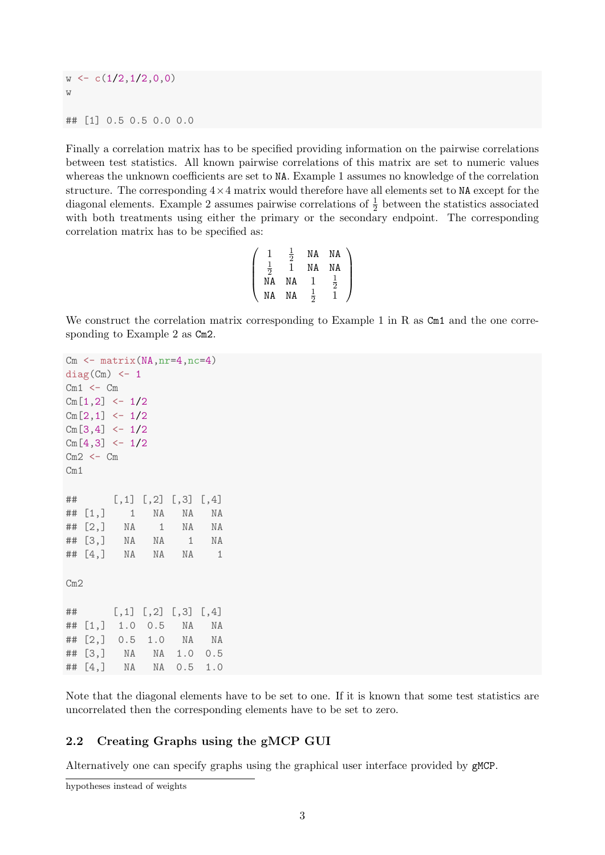$w \leftarrow c(1/2,1/2,0,0)$ w ## [1] 0.5 0.5 0.0 0.0

Finally a correlation matrix has to be specified providing information on the pairwise correlations between test statistics. All known pairwise correlations of this matrix are set to numeric values whereas the unknown coefficients are set to NA. Example 1 assumes no knowledge of the correlation structure. The corresponding  $4\times4$  matrix would therefore have all elements set to NA except for the diagonal elements. Example 2 assumes pairwise correlations of  $\frac{1}{2}$  between the statistics associated with both treatments using either the primary or the secondary endpoint. The corresponding correlation matrix has to be specified as:

|               | $\bar{\bar{2}}$ | ΝA | NA             |  |
|---------------|-----------------|----|----------------|--|
| $\frac{1}{2}$ |                 | ΝA | ΝA             |  |
| ΝA            | ΝA              |    | $\overline{2}$ |  |
| NΑ            | ΝA              | 2  |                |  |

We construct the correlation matrix corresponding to Example 1 in R as Cm1 and the one corresponding to Example 2 as Cm2.

```
Cm \leftarrow matrix(MA, nr=4, nc=4)diag(Cm) <- 1
Cm1 <- CmCm[1,2] < -1/2Cm[2,1] <- 1/2Cm[3,4] < -1/2Cm[4,3] <- 1/2Cm2 <- CmCm1
## [,1] [,2] [,3] [,4]
## [1,] 1 NA NA NA
## [2,] NA 1 NA NA
## [3,] NA NA 1 NA
## [4,] NA NA NA 1
Cm2
## [,1] [,2] [,3] [,4]
## [1,] 1.0 0.5 NA NA
## [2,] 0.5 1.0 NA NA
## [3,] NA NA 1.0 0.5
## [4,] NA NA 0.5 1.0
```
Note that the diagonal elements have to be set to one. If it is known that some test statistics are uncorrelated then the corresponding elements have to be set to zero.

#### <span id="page-2-0"></span>2.2 Creating Graphs using the gMCP GUI

Alternatively one can specify graphs using the graphical user interface provided by gMCP.

hypotheses instead of weights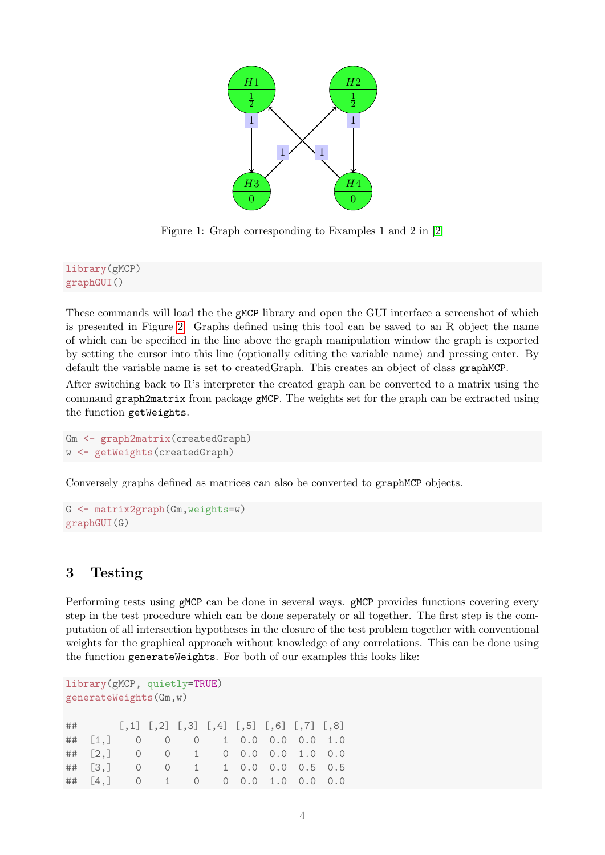

<span id="page-3-1"></span>Figure 1: Graph corresponding to Examples 1 and 2 in [\[2\]](#page-9-1)

library(gMCP) graphGUI()

These commands will load the the gMCP library and open the GUI interface a screenshot of which is presented in Figure [2.](#page-4-0) Graphs defined using this tool can be saved to an R object the name of which can be specified in the line above the graph manipulation window the graph is exported by setting the cursor into this line (optionally editing the variable name) and pressing enter. By default the variable name is set to createdGraph. This creates an object of class graphMCP.

After switching back to R's interpreter the created graph can be converted to a matrix using the command graph2matrix from package gMCP. The weights set for the graph can be extracted using the function getWeights.

```
Gm <- graph2matrix(createdGraph)
w <- getWeights(createdGraph)
```
Conversely graphs defined as matrices can also be converted to graphMCP objects.

```
G <- matrix2graph(Gm,weights=w)
graphGUI(G)
```
# <span id="page-3-0"></span>3 Testing

Performing tests using  $gMCP$  can be done in several ways.  $gMCP$  provides functions covering every step in the test procedure which can be done seperately or all together. The first step is the computation of all intersection hypotheses in the closure of the test problem together with conventional weights for the graphical approach without knowledge of any correlations. This can be done using the function generateWeights. For both of our examples this looks like:

```
library(gMCP, quietly=TRUE)
generateWeights(Gm,w)
## [,1] [,2] [,3] [,4] [,5] [,6] [,7] [,8]
## [1,] 0 0 0 1 0.0 0.0 0.0 1.0
## [2,] 0 0 1 0 0.0 0.0 1.0 0.0
## [3,] 0 0 1 1 0.0 0.0 0.5 0.5
## [4,] 0 1 0 0 0.0 1.0 0.0 0.0
```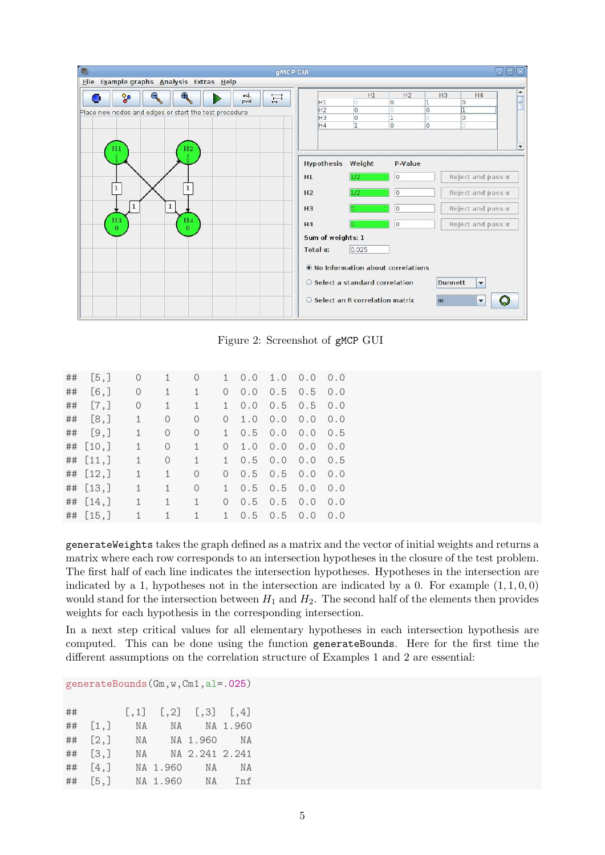

<span id="page-4-0"></span>Figure 2: Screenshot of gMCP GUI

| ## | [5,]    | 0            |          | 0        | 1.       | 0.0 | 1.0 | 0.0 | 0.0 |
|----|---------|--------------|----------|----------|----------|-----|-----|-----|-----|
| ## | $[6,$ ] | 0            | 1        | 1        | $\Omega$ | 0.0 | 0.5 | 0.5 | 0.0 |
| ## | $[7,$ ] | 0            | 1        | 1        | 1.       | 0.0 | 0.5 | 0.5 | 0.0 |
| ## | [8,]    | 1            | $\Omega$ | $\Omega$ | $\Omega$ | 1.0 | 0.0 | 0.0 | 0.0 |
| ## | [9,]    | 1            | $\Omega$ | 0        | 1        | 0.5 | 0.0 | 0.0 | 0.5 |
| ## | [10,    | 1            | $\Omega$ | 1        | $\Omega$ | 1.0 | 0.0 | 0.0 | 0.0 |
| ## | [11,]   | $\mathbf{1}$ | $\Omega$ | 1        | 1        | 0.5 | 0.0 | 0.0 | 0.5 |
| ## | [12,]   | 1            | 1        | 0        | $\Omega$ | 0.5 | 0.5 | 0.0 | 0.0 |
| ## | [13,]   | 1            | 1        | $\Omega$ | 1        | 0.5 | 0.5 | 0.0 | 0.0 |
| ## | [14,]   | 1            | 1        | 1        | $\Omega$ | 0.5 | 0.5 | 0.0 | 0.0 |
| ## | [15,]   | $\mathbf{1}$ | 1        |          | 1        | 0.5 | 0.5 | 0.0 | 0.0 |

generateWeights takes the graph defined as a matrix and the vector of initial weights and returns a matrix where each row corresponds to an intersection hypotheses in the closure of the test problem. The first half of each line indicates the intersection hypotheses. Hypotheses in the intersection are indicated by a 1, hypotheses not in the intersection are indicated by a 0. For example  $(1, 1, 0, 0)$ would stand for the intersection between  $H_1$  and  $H_2$ . The second half of the elements then provides weights for each hypothesis in the corresponding intersection.

In a next step critical values for all elementary hypotheses in each intersection hypothesis are computed. This can be done using the function generateBounds. Here for the first time the different assumptions on the correlation structure of Examples 1 and 2 are essential:

generateBounds(Gm,w,Cm1,al=.025)

| $\#$ #                  |  | $[0,1]$ $[0,2]$ $[0,3]$ $[0,4]$ |  |
|-------------------------|--|---------------------------------|--|
| $##$ [1,]               |  | NA NA NA 1.960                  |  |
| $\sharp\sharp$ [2,]     |  | NA NA 1.960 NA                  |  |
| $##$ [3,]               |  | NA NA 2.241 2.241               |  |
| $##$ [4,]               |  | NA 1.960 NA NA                  |  |
| ## [5,] NA 1.960 NA Inf |  |                                 |  |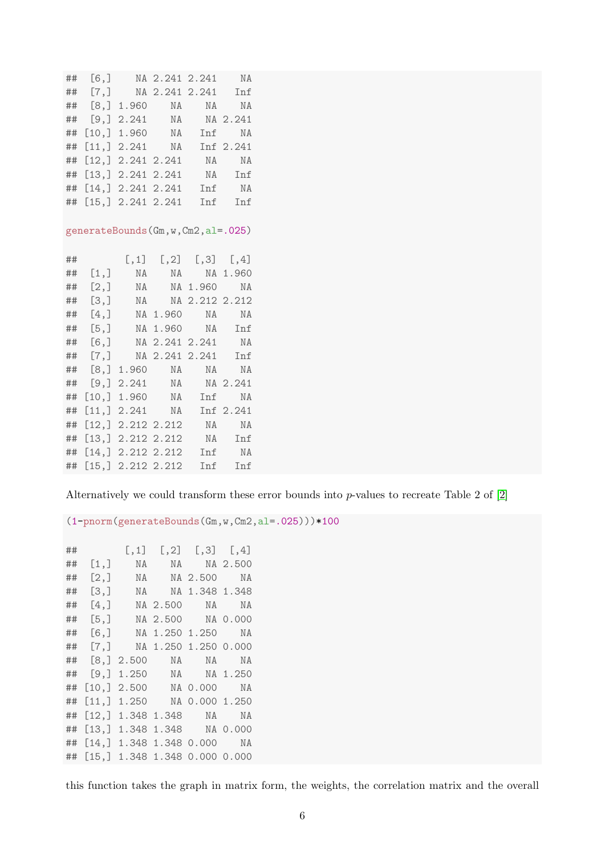## [6,] NA 2.241 2.241 NA ## [7,] NA 2.241 2.241 Inf ## [8,] 1.960 NA NA NA ## [9,] 2.241 NA NA 2.241 ## [10,] 1.960 NA Inf NA ## [11,] 2.241 NA Inf 2.241 ## [12,] 2.241 2.241 NA NA ## [13,] 2.241 2.241 NA Inf ## [14,] 2.241 2.241 Inf NA ## [15,] 2.241 2.241 Inf Inf generateBounds(Gm,w,Cm2,al=.025) ## [,1] [,2] [,3] [,4] ## [1,] NA NA NA 1.960 ## [2,] NA NA 1.960 NA ## [3,] NA NA 2.212 2.212 ## [4,] NA 1.960 NA NA ## [5,] NA 1.960 NA Inf ## [6,] NA 2.241 2.241 NA ## [7,] NA 2.241 2.241 Inf ## [8,] 1.960 NA NA NA ## [9,] 2.241 NA NA 2.241 ## [10,] 1.960 NA Inf NA ## [11,] 2.241 NA Inf 2.241 ## [12,] 2.212 2.212 NA NA ## [13,] 2.212 2.212 NA Inf ## [14,] 2.212 2.212 Inf NA ## [15,] 2.212 2.212 Inf Inf

Alternatively we could transform these error bounds into p-values to recreate Table 2 of [\[2\]](#page-9-1)

 $(1-pnorm(generateBounds(Gm,w,Cm2,a1=.025)))*100$ 

## [,1] [,2] [,3] [,4] ## [1,] NA NA NA 2.500 ## [2,] NA NA 2.500 NA ## [3,] NA NA 1.348 1.348 ## [4,] NA 2.500 NA NA ## [5,] NA 2.500 NA 0.000 ## [6,] NA 1.250 1.250 NA ## [7,] NA 1.250 1.250 0.000 ## [8,] 2.500 NA NA NA ## [9,] 1.250 NA NA 1.250 ## [10,] 2.500 NA 0.000 NA ## [11,] 1.250 NA 0.000 1.250 ## [12,] 1.348 1.348 NA NA ## [13,] 1.348 1.348 NA 0.000 ## [14,] 1.348 1.348 0.000 NA ## [15,] 1.348 1.348 0.000 0.000

this function takes the graph in matrix form, the weights, the correlation matrix and the overall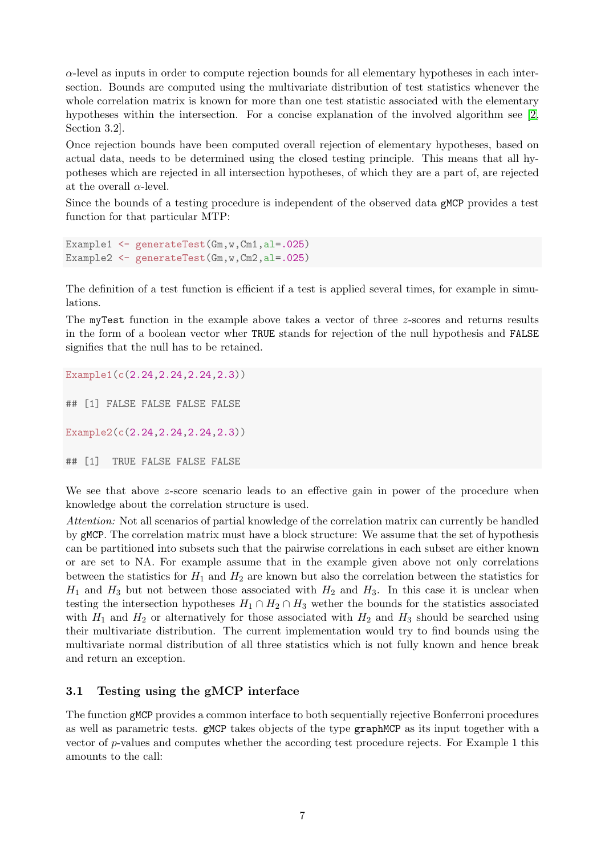$\alpha$ -level as inputs in order to compute rejection bounds for all elementary hypotheses in each intersection. Bounds are computed using the multivariate distribution of test statistics whenever the whole correlation matrix is known for more than one test statistic associated with the elementary hypotheses within the intersection. For a concise explanation of the involved algorithm see [\[2,](#page-9-1) Section 3.2].

Once rejection bounds have been computed overall rejection of elementary hypotheses, based on actual data, needs to be determined using the closed testing principle. This means that all hypotheses which are rejected in all intersection hypotheses, of which they are a part of, are rejected at the overall  $\alpha$ -level.

Since the bounds of a testing procedure is independent of the observed data gMCP provides a test function for that particular MTP:

```
Example1 <- generateTest(Gm,w,Cm1,al=.025)
Example2 <- generateTest(Gm,w,Cm2,al=.025)
```
The definition of a test function is efficient if a test is applied several times, for example in simulations.

The myTest function in the example above takes a vector of three z-scores and returns results in the form of a boolean vector wher TRUE stands for rejection of the null hypothesis and FALSE signifies that the null has to be retained.

Example1(c(2.24,2.24,2.24,2.3))

## [1] FALSE FALSE FALSE FALSE

Example2(c(2.24,2.24,2.24,2.3))

## [1] TRUE FALSE FALSE FALSE

We see that above z-score scenario leads to an effective gain in power of the procedure when knowledge about the correlation structure is used.

Attention: Not all scenarios of partial knowledge of the correlation matrix can currently be handled by gMCP. The correlation matrix must have a block structure: We assume that the set of hypothesis can be partitioned into subsets such that the pairwise correlations in each subset are either known or are set to NA. For example assume that in the example given above not only correlations between the statistics for  $H_1$  and  $H_2$  are known but also the correlation between the statistics for  $H_1$  and  $H_3$  but not between those associated with  $H_2$  and  $H_3$ . In this case it is unclear when testing the intersection hypotheses  $H_1 \cap H_2 \cap H_3$  wether the bounds for the statistics associated with  $H_1$  and  $H_2$  or alternatively for those associated with  $H_2$  and  $H_3$  should be searched using their multivariate distribution. The current implementation would try to find bounds using the multivariate normal distribution of all three statistics which is not fully known and hence break and return an exception.

#### <span id="page-6-0"></span>3.1 Testing using the gMCP interface

The function gMCP provides a common interface to both sequentially rejective Bonferroni procedures as well as parametric tests. gMCP takes objects of the type graphMCP as its input together with a vector of p-values and computes whether the according test procedure rejects. For Example 1 this amounts to the call: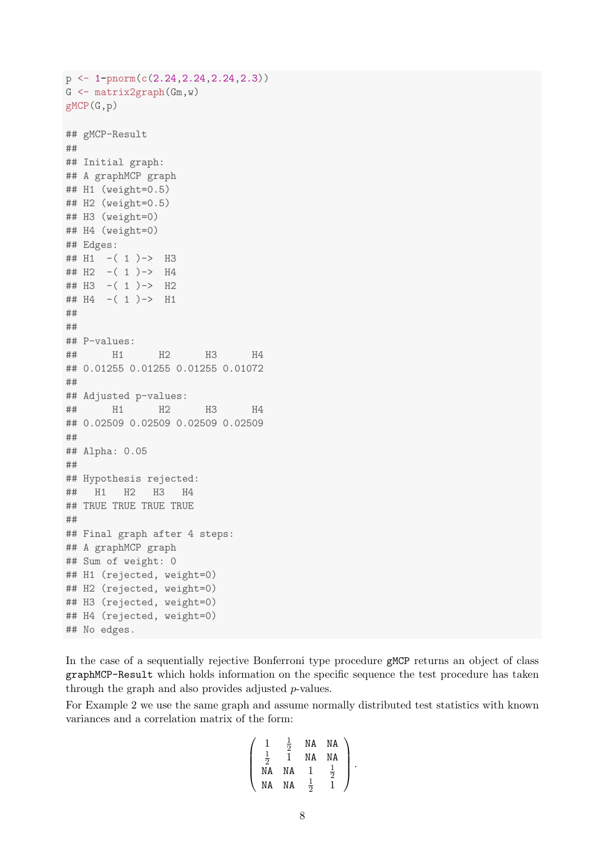```
p <- 1-pnorm(c(2.24,2.24,2.24,2.3))
G <- matrix2graph(Gm,w)
gMCP(G,p)
## gMCP-Result
##
## Initial graph:
## A graphMCP graph
## H1 (weight=0.5)
## H2 (weight=0.5)
## H3 (weight=0)
## H4 (weight=0)
## Edges:
## H1 -( 1 )-> H3
## H2 -( 1 )-> H4
## H3 -( 1 )-> H2
## H4 -( 1 )-> H1
##
##
## P-values:
## H1 H2 H3 H4
## 0.01255 0.01255 0.01255 0.01072
##
## Adjusted p-values:
## H1 H2 H3 H4
## 0.02509 0.02509 0.02509 0.02509
##
## Alpha: 0.05
##
## Hypothesis rejected:
## H1 H2 H3 H4
## TRUE TRUE TRUE TRUE
##
## Final graph after 4 steps:
## A graphMCP graph
## Sum of weight: 0
## H1 (rejected, weight=0)
## H2 (rejected, weight=0)
## H3 (rejected, weight=0)
## H4 (rejected, weight=0)
## No edges.
```
In the case of a sequentially rejective Bonferroni type procedure gMCP returns an object of class graphMCP-Result which holds information on the specific sequence the test procedure has taken through the graph and also provides adjusted p-values.

For Example 2 we use the same graph and assume normally distributed test statistics with known variances and a correlation matrix of the form:

$$
\left(\begin{array}{cccc} 1 & \frac{1}{2} & \text{NA} & \text{NA} \\ \frac{1}{2} & 1 & \text{NA} & \text{NA} \\ \text{NA} & \text{NA} & 1 & \frac{1}{2} \\ \text{NA} & \text{NA} & \frac{1}{2} & 1 \end{array}\right).
$$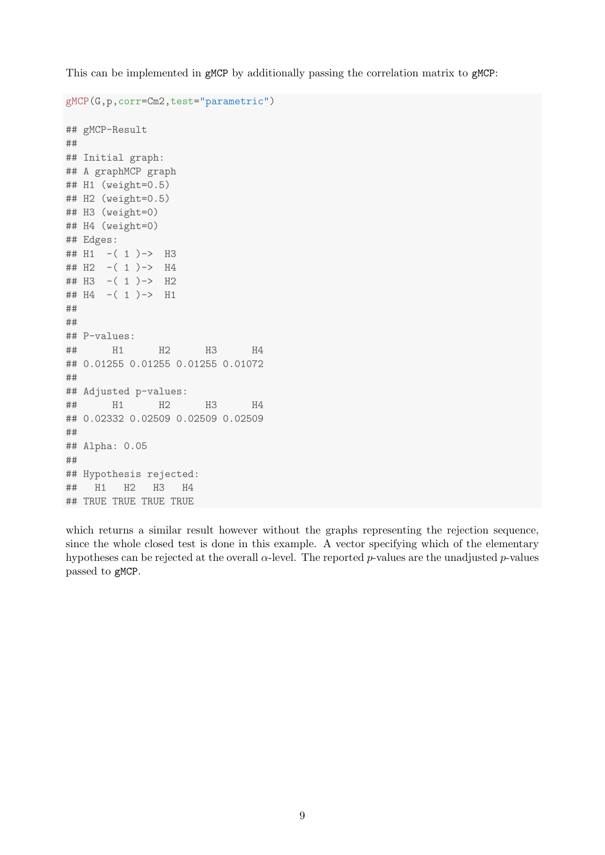This can be implemented in gMCP by additionally passing the correlation matrix to gMCP:

```
gMCP(G,p,corr=Cm2,test="parametric")
## gMCP-Result
##
## Initial graph:
## A graphMCP graph
## H1 (weight=0.5)
## H2 (weight=0.5)
## H3 (weight=0)
## H4 (weight=0)
## Edges:
## H1 -( 1 )-> H3
## H2 -( 1 )-> H4
## H3 -( 1 )-> H2
## H4 -( 1 )-> H1
##
##
## P-values:
## H1 H2 H3 H4
## 0.01255 0.01255 0.01255 0.01072
##
## Adjusted p-values:
## H1 H2 H3 H4
## 0.02332 0.02509 0.02509 0.02509
##
## Alpha: 0.05
##
## Hypothesis rejected:
## H1 H2 H3 H4
## TRUE TRUE TRUE TRUE
```
which returns a similar result however without the graphs representing the rejection sequence, since the whole closed test is done in this example. A vector specifying which of the elementary hypotheses can be rejected at the overall  $\alpha$ -level. The reported p-values are the unadjusted p-values passed to gMCP.